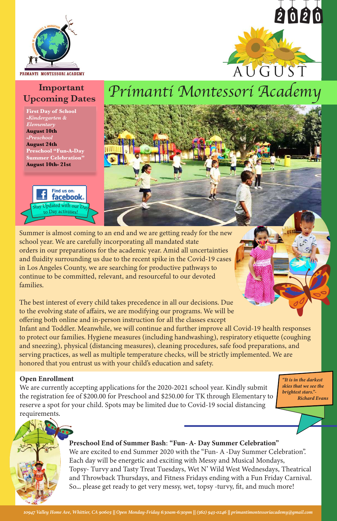# **Important Upcoming Dates**

**First Day of School -***Kindergarten & Elementary* **August 10th -***Preschool* **August 24th Preschool "Fun-A-Day Summer Celebration" August 10th- 21st**

Summer is almost coming to an end and we are getting ready for the new school year. We are carefully incorporating all mandated state orders in our preparations for the academic year. Amid all uncertainties and fluidity surrounding us due to the recent spike in the Covid-19 cases in Los Angeles County, we are searching for productive pathways to continue to be committed, relevant, and resourceful to our devoted families.

The best interest of every child takes precedence in all our decisions. Due to the evolving state of affairs, we are modifying our programs. We will be offering both online and in-person instruction for all the classes except

Infant and Toddler. Meanwhile, we will continue and further improve all Covid-19 health responses to protect our families. Hygiene measures (including handwashing), respiratory etiquette (coughing and sneezing), physical (distancing measures), cleaning procedures, safe food preparations, and serving practices, as well as multiple temperature checks, will be strictly implemented. We are honored that you entrust us with your child's education and safety.

# *Primanti Montessori Academy*

*10947 Valley Home Ave, Whittier, CA 90603 || Open Monday-Friday 6:30am-6:30pm || (562) 943-0246 || primantimontessoriacademy@gmail.com*





#### Open Enrollment

We are currently accepting applications for the 2020-2021 school year. Kindly submit the registration fee of \$200.00 for Preschool and \$250.00 for TK through Elementary to reserve a spot for your child. Spots may be limited due to Covid-19 social distancing requirements.

#### Preschool End of Summer Bash: "Fun- A- Day Summer Celebration"

We are excited to end Summer 2020 with the "Fun- A -Day Summer Celebration". Each day will be energetic and exciting with Messy and Musical Mondays, Topsy- Turvy and Tasty Treat Tuesdays, Wet N' Wild West Wednesdays, Theatrical and Throwback Thursdays, and Fitness Fridays ending with a Fun Friday Carnival. So... please get ready to get very messy, wet, topsy -turvy, fit, and much more!

*"It is in the darkest* 

*skies that we see the brightest stars."- Richard Evans*

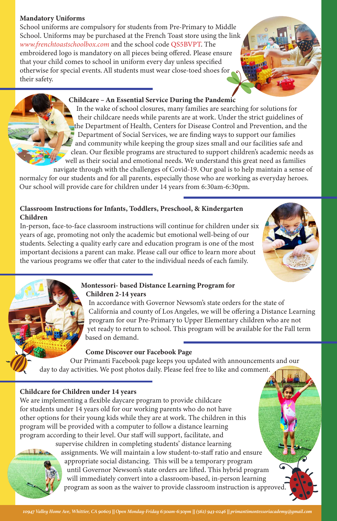*10947 Valley Home Ave, Whittier, CA 90603 || Open Monday-Friday 6:30am-6:30pm || (562) 943-0246 || primantimontessoriacademy@gmail.com*

# Mandatory Uniforms

School uniforms are compulsory for students from Pre-Primary to Middle School. Uniforms may be purchased at the French Toast store using the link *www.frenchtoastschoolbox.com* and the school code QS5BVPT. The embroidered logo is mandatory on all pieces being offered. Please ensure that your child comes to school in uniform every day unless specified otherwise for special events. All students must wear close-toed shoes for their safety.

# Childcare – An Essential Service During the Pandemic

 In the wake of school closures, many families are searching for solutions for their childcare needs while parents are at work. Under the strict guidelines of the Department of Health, Centers for Disease Control and Prevention, and the Department of Social Services, we are finding ways to support our families and community while keeping the group sizes small and our facilities safe and clean. Our flexible programs are structured to support children's academic needs as well as their social and emotional needs. We understand this great need as families navigate through with the challenges of Covid-19. Our goal is to help maintain a sense of

normalcy for our students and for all parents, especially those who are working as everyday heroes. Our school will provide care for children under 14 years from 6:30am-6:30pm.

# Classroom Instructions for Infants, Toddlers, Preschool, & Kindergarten Children

In-person, face-to-face classroom instructions will continue for children under six years of age, promoting not only the academic but emotional well-being of our students. Selecting a quality early care and education program is one of the most important decisions a parent can make. Please call our office to learn more about the various programs we offer that cater to the individual needs of each family.



# Montessori- based Distance Learning Program for Children 2-14 years

 In accordance with Governor Newsom's state orders for the state of California and county of Los Angeles, we will be offering a Distance Learning program for our Pre-Primary to Upper Elementary children who are not yet ready to return to school. This program will be available for the Fall term based on demand.

# Childcare for Children under 14 years

We are implementing a flexible daycare program to provide childcare for students under 14 years old for our working parents who do not have other options for their young kids while they are at work. The children in this program will be provided with a computer to follow a distance learning program according to their level. Our staff will support, facilitate, and supervise children in completing students' distance learning



 assignments. We will maintain a low student-to-staff ratio and ensure appropriate social distancing. This will be a temporary program until Governor Newsom's state orders are lifted. This hybrid program will immediately convert into a classroom-based, in-person learning program as soon as the waiver to provide classroom instruction is approved.

# Come Discover our Facebook Page

Our Primanti Facebook page keeps you updated with announcements and our day to day activities. We post photos daily. Please feel free to like and comment.